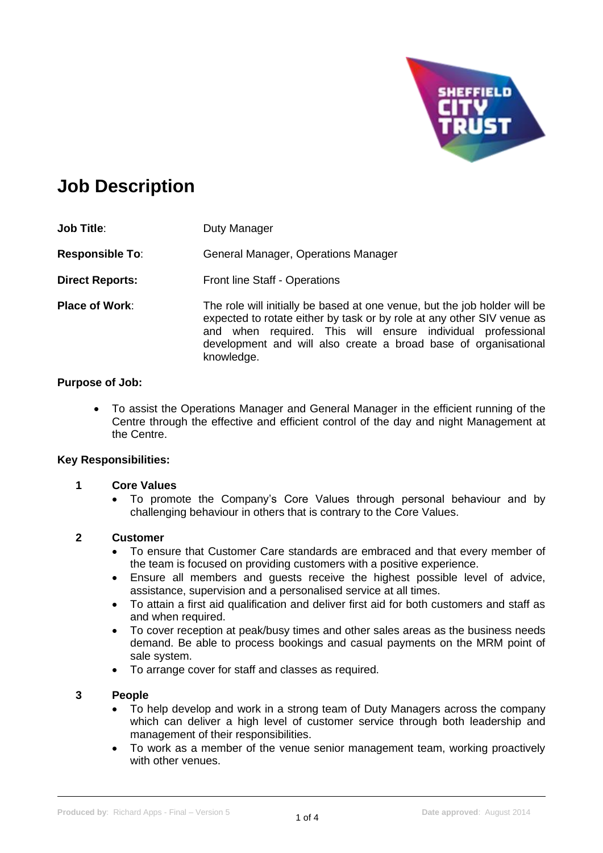

# **Job Description**

| <b>Job Title:</b>      | Duty Manager                                                                                                                                                                                                                                                                                        |
|------------------------|-----------------------------------------------------------------------------------------------------------------------------------------------------------------------------------------------------------------------------------------------------------------------------------------------------|
| <b>Responsible To:</b> | General Manager, Operations Manager                                                                                                                                                                                                                                                                 |
| <b>Direct Reports:</b> | <b>Front line Staff - Operations</b>                                                                                                                                                                                                                                                                |
| <b>Place of Work:</b>  | The role will initially be based at one venue, but the job holder will be<br>expected to rotate either by task or by role at any other SIV venue as<br>and when required. This will ensure individual professional<br>development and will also create a broad base of organisational<br>knowledge. |

# **Purpose of Job:**

• To assist the Operations Manager and General Manager in the efficient running of the Centre through the effective and efficient control of the day and night Management at the Centre.

# **Key Responsibilities:**

# **1 Core Values**

• To promote the Company's Core Values through personal behaviour and by challenging behaviour in others that is contrary to the Core Values.

# **2 Customer**

- To ensure that Customer Care standards are embraced and that every member of the team is focused on providing customers with a positive experience.
- Ensure all members and guests receive the highest possible level of advice, assistance, supervision and a personalised service at all times.
- To attain a first aid qualification and deliver first aid for both customers and staff as and when required.
- To cover reception at peak/busy times and other sales areas as the business needs demand. Be able to process bookings and casual payments on the MRM point of sale system.
- To arrange cover for staff and classes as required.

# **3 People**

- To help develop and work in a strong team of Duty Managers across the company which can deliver a high level of customer service through both leadership and management of their responsibilities.
- To work as a member of the venue senior management team, working proactively with other venues.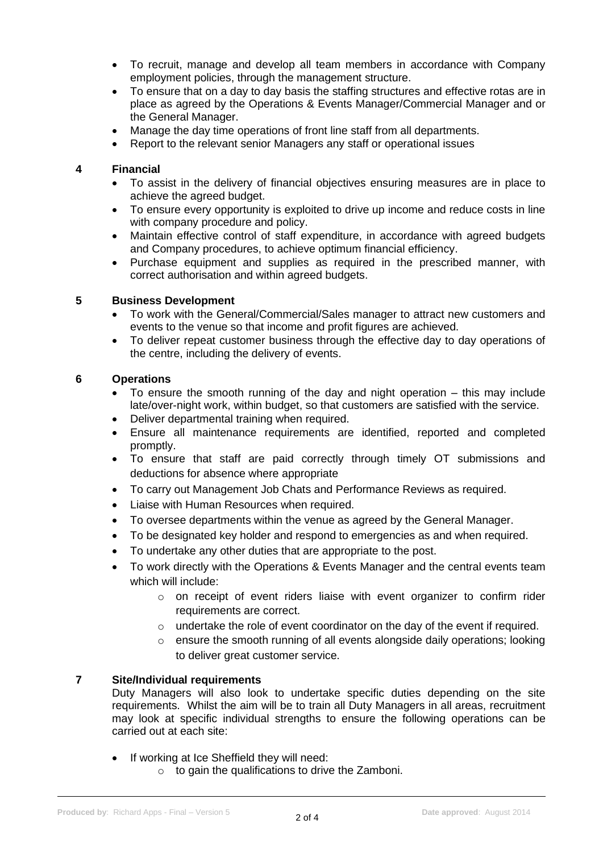- To recruit, manage and develop all team members in accordance with Company employment policies, through the management structure.
- To ensure that on a day to day basis the staffing structures and effective rotas are in place as agreed by the Operations & Events Manager/Commercial Manager and or the General Manager.
- Manage the day time operations of front line staff from all departments.
- Report to the relevant senior Managers any staff or operational issues

# **4 Financial**

- To assist in the delivery of financial objectives ensuring measures are in place to achieve the agreed budget.
- To ensure every opportunity is exploited to drive up income and reduce costs in line with company procedure and policy.
- Maintain effective control of staff expenditure, in accordance with agreed budgets and Company procedures, to achieve optimum financial efficiency.
- Purchase equipment and supplies as required in the prescribed manner, with correct authorisation and within agreed budgets.

# **5 Business Development**

- To work with the General/Commercial/Sales manager to attract new customers and events to the venue so that income and profit figures are achieved.
- To deliver repeat customer business through the effective day to day operations of the centre, including the delivery of events.

#### **6 Operations**

- To ensure the smooth running of the day and night operation  $-$  this may include late/over-night work, within budget, so that customers are satisfied with the service.
- Deliver departmental training when required.
- Ensure all maintenance requirements are identified, reported and completed promptly.
- To ensure that staff are paid correctly through timely OT submissions and deductions for absence where appropriate
- To carry out Management Job Chats and Performance Reviews as required.
- Liaise with Human Resources when required.
- To oversee departments within the venue as agreed by the General Manager.
- To be designated key holder and respond to emergencies as and when required.
- To undertake any other duties that are appropriate to the post.
- To work directly with the Operations & Events Manager and the central events team which will include:
	- $\circ$  on receipt of event riders liaise with event organizer to confirm rider requirements are correct.
	- o undertake the role of event coordinator on the day of the event if required.
	- $\circ$  ensure the smooth running of all events alongside daily operations; looking to deliver great customer service.

# **7 Site/Individual requirements**

Duty Managers will also look to undertake specific duties depending on the site requirements. Whilst the aim will be to train all Duty Managers in all areas, recruitment may look at specific individual strengths to ensure the following operations can be carried out at each site:

- If working at Ice Sheffield they will need:
	- o to gain the qualifications to drive the Zamboni.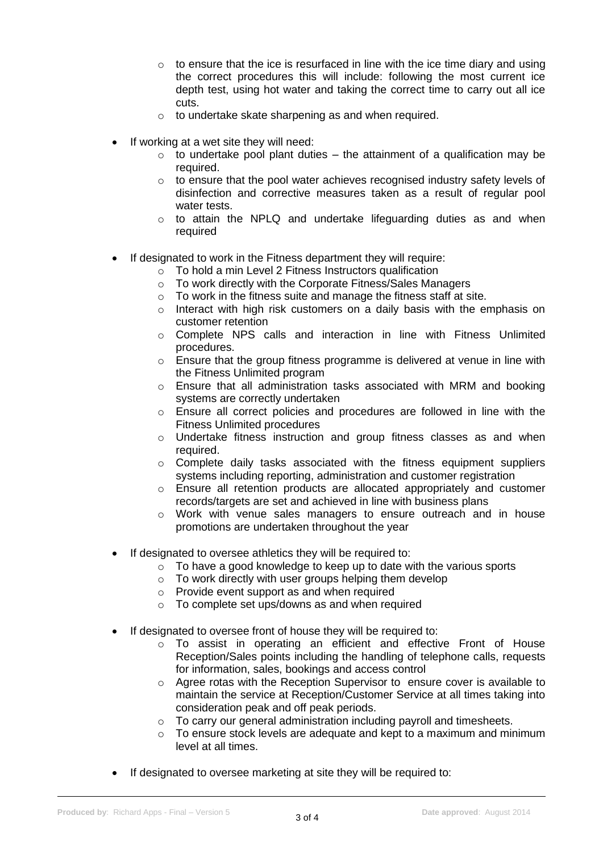- $\circ$  to ensure that the ice is resurfaced in line with the ice time diary and using the correct procedures this will include: following the most current ice depth test, using hot water and taking the correct time to carry out all ice cuts.
- o to undertake skate sharpening as and when required.
- If working at a wet site they will need:
	- $\circ$  to undertake pool plant duties the attainment of a qualification may be required.
	- o to ensure that the pool water achieves recognised industry safety levels of disinfection and corrective measures taken as a result of regular pool water tests.
	- $\circ$  to attain the NPLQ and undertake lifeguarding duties as and when required
- If designated to work in the Fitness department they will require:
	- o To hold a min Level 2 Fitness Instructors qualification
	- o To work directly with the Corporate Fitness/Sales Managers
	- o To work in the fitness suite and manage the fitness staff at site.
	- o Interact with high risk customers on a daily basis with the emphasis on customer retention
	- $\circ$  Complete NPS calls and interaction in line with Fitness Unlimited procedures.
	- o Ensure that the group fitness programme is delivered at venue in line with the Fitness Unlimited program
	- $\circ$  Ensure that all administration tasks associated with MRM and booking systems are correctly undertaken
	- $\circ$  Ensure all correct policies and procedures are followed in line with the Fitness Unlimited procedures
	- o Undertake fitness instruction and group fitness classes as and when required.
	- $\circ$  Complete daily tasks associated with the fitness equipment suppliers systems including reporting, administration and customer registration
	- $\circ$  Ensure all retention products are allocated appropriately and customer records/targets are set and achieved in line with business plans
	- $\circ$  Work with venue sales managers to ensure outreach and in house promotions are undertaken throughout the year
- If designated to oversee athletics they will be required to:
	- $\circ$  To have a good knowledge to keep up to date with the various sports
	- o To work directly with user groups helping them develop
	- o Provide event support as and when required
	- o To complete set ups/downs as and when required
- If designated to oversee front of house they will be required to:
	- o To assist in operating an efficient and effective Front of House Reception/Sales points including the handling of telephone calls, requests for information, sales, bookings and access control
	- $\circ$  Agree rotas with the Reception Supervisor to ensure cover is available to maintain the service at Reception/Customer Service at all times taking into consideration peak and off peak periods.
	- o To carry our general administration including payroll and timesheets.
	- $\circ$  To ensure stock levels are adequate and kept to a maximum and minimum level at all times.
- If designated to oversee marketing at site they will be required to: